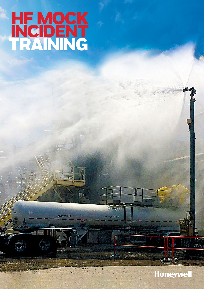# **HF MOCK**  INCIDENT TRAINING

32

NAME OF STRANG

11.9

晒

Training Trailer Only

## **Honeywell**

.<br>Il